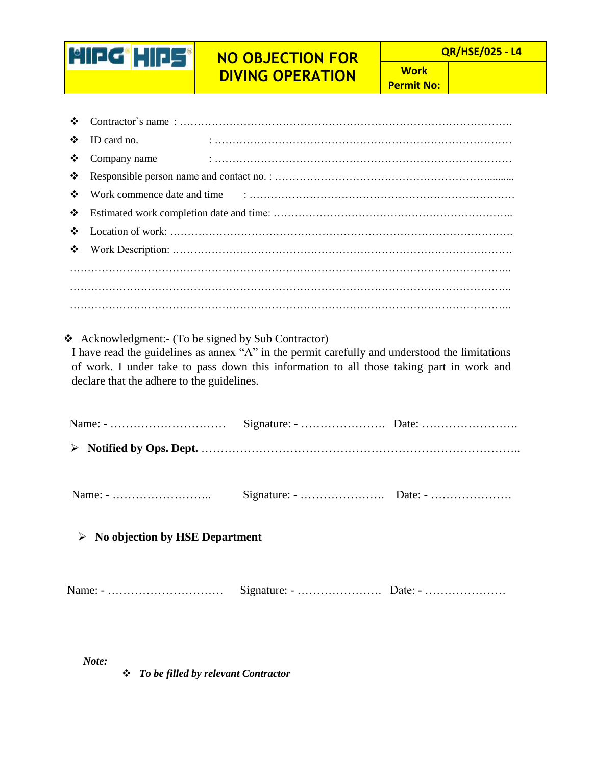## **NO OBJECTION FOR DIVING OPERATION**

 **QR/HSE/025 - L4**

**Work Permit No:**

| ❖                                                                                                                                                                                                                                                                                              |              |  |  |  |  |  |
|------------------------------------------------------------------------------------------------------------------------------------------------------------------------------------------------------------------------------------------------------------------------------------------------|--------------|--|--|--|--|--|
| ❖                                                                                                                                                                                                                                                                                              | ID card no.  |  |  |  |  |  |
| ❖                                                                                                                                                                                                                                                                                              | Company name |  |  |  |  |  |
| ❖                                                                                                                                                                                                                                                                                              |              |  |  |  |  |  |
| ❖                                                                                                                                                                                                                                                                                              |              |  |  |  |  |  |
| ❖                                                                                                                                                                                                                                                                                              |              |  |  |  |  |  |
| ❖                                                                                                                                                                                                                                                                                              |              |  |  |  |  |  |
| ❖                                                                                                                                                                                                                                                                                              |              |  |  |  |  |  |
|                                                                                                                                                                                                                                                                                                |              |  |  |  |  |  |
|                                                                                                                                                                                                                                                                                                |              |  |  |  |  |  |
|                                                                                                                                                                                                                                                                                                |              |  |  |  |  |  |
| ❖ Acknowledgment: (To be signed by Sub Contractor)<br>I have read the guidelines as annex "A" in the permit carefully and understood the limitations<br>of work. I under take to pass down this information to all those taking part in work and<br>declare that the adhere to the guidelines. |              |  |  |  |  |  |
|                                                                                                                                                                                                                                                                                                |              |  |  |  |  |  |
|                                                                                                                                                                                                                                                                                                |              |  |  |  |  |  |

| <b>Name</b> | Signature: | Date: - |
|-------------|------------|---------|
|             | – <b></b>  |         |

**No objection by HSE Department**

**MIDG HIPS** 

|--|--|--|

*Note:*

*To be filled by relevant Contractor*